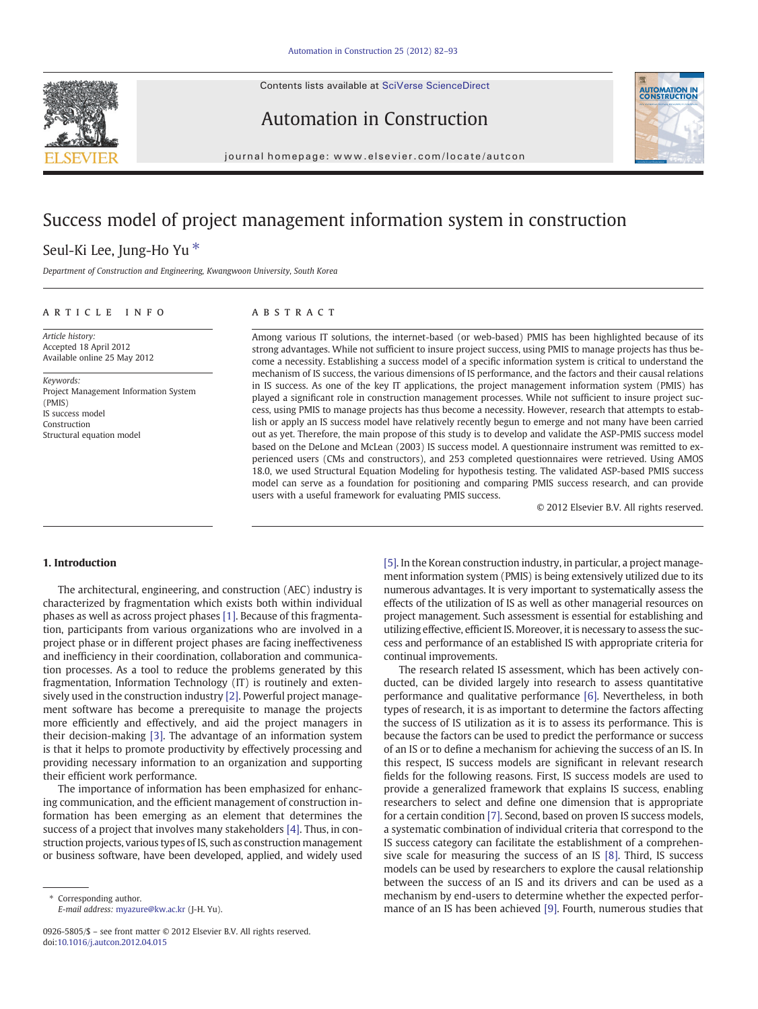Contents lists available at SciVerse ScienceDirect





Automation in Construction

journal homepage: www.elsevier.com/locate/autcon

# Success model of project management information system in construction

## Seul-Ki Lee, Jung-Ho Yu<sup>\*</sup>

Department of Construction and Engineering, Kwangwoon University, South Korea

#### ARTICLE INFO ABSTRACT

Article history: Accepted 18 April 2012 Available online 25 May 2012

Keywords: Project Management Information System (PMIS) IS success model Construction Structural equation model

Among various IT solutions, the internet-based (or web-based) PMIS has been highlighted because of its strong advantages. While not sufficient to insure project success, using PMIS to manage projects has thus become a necessity. Establishing a success model of a specific information system is critical to understand the mechanism of IS success, the various dimensions of IS performance, and the factors and their causal relations in IS success. As one of the key IT applications, the project management information system (PMIS) has played a significant role in construction management processes. While not sufficient to insure project success, using PMIS to manage projects has thus become a necessity. However, research that attempts to establish or apply an IS success model have relatively recently begun to emerge and not many have been carried out as yet. Therefore, the main propose of this study is to develop and validate the ASP-PMIS success model based on the DeLone and McLean (2003) IS success model. A questionnaire instrument was remitted to experienced users (CMs and constructors), and 253 completed questionnaires were retrieved. Using AMOS 18.0, we used Structural Equation Modeling for hypothesis testing. The validated ASP-based PMIS success model can serve as a foundation for positioning and comparing PMIS success research, and can provide users with a useful framework for evaluating PMIS success.

© 2012 Elsevier B.V. All rights reserved.

### 1. Introduction

The architectural, engineering, and construction (AEC) industry is characterized by fragmentation which exists both within individual phases as well as across project phases [\[1\]](#page--1-0). Because of this fragmentation, participants from various organizations who are involved in a project phase or in different project phases are facing ineffectiveness and inefficiency in their coordination, collaboration and communication processes. As a tool to reduce the problems generated by this fragmentation, Information Technology (IT) is routinely and extensively used in the construction industry [\[2\]](#page--1-0). Powerful project management software has become a prerequisite to manage the projects more efficiently and effectively, and aid the project managers in their decision-making [\[3\]](#page--1-0). The advantage of an information system is that it helps to promote productivity by effectively processing and providing necessary information to an organization and supporting their efficient work performance.

The importance of information has been emphasized for enhancing communication, and the efficient management of construction information has been emerging as an element that determines the success of a project that involves many stakeholders [\[4\].](#page--1-0) Thus, in construction projects, various types of IS, such as construction management or business software, have been developed, applied, and widely used

[\[5\].](#page--1-0) In the Korean construction industry, in particular, a project management information system (PMIS) is being extensively utilized due to its numerous advantages. It is very important to systematically assess the effects of the utilization of IS as well as other managerial resources on project management. Such assessment is essential for establishing and utilizing effective, efficient IS. Moreover, it is necessary to assess the success and performance of an established IS with appropriate criteria for continual improvements.

The research related IS assessment, which has been actively conducted, can be divided largely into research to assess quantitative performance and qualitative performance [\[6\]](#page--1-0). Nevertheless, in both types of research, it is as important to determine the factors affecting the success of IS utilization as it is to assess its performance. This is because the factors can be used to predict the performance or success of an IS or to define a mechanism for achieving the success of an IS. In this respect, IS success models are significant in relevant research fields for the following reasons. First, IS success models are used to provide a generalized framework that explains IS success, enabling researchers to select and define one dimension that is appropriate for a certain condition [\[7\]](#page--1-0). Second, based on proven IS success models, a systematic combination of individual criteria that correspond to the IS success category can facilitate the establishment of a comprehensive scale for measuring the success of an IS [\[8\].](#page--1-0) Third, IS success models can be used by researchers to explore the causal relationship between the success of an IS and its drivers and can be used as a mechanism by end-users to determine whether the expected performance of an IS has been achieved [\[9\].](#page--1-0) Fourth, numerous studies that

<sup>⁎</sup> Corresponding author.

E-mail address: [myazure@kw.ac.kr](mailto:myazure@kw.ac.kr) (J-H. Yu).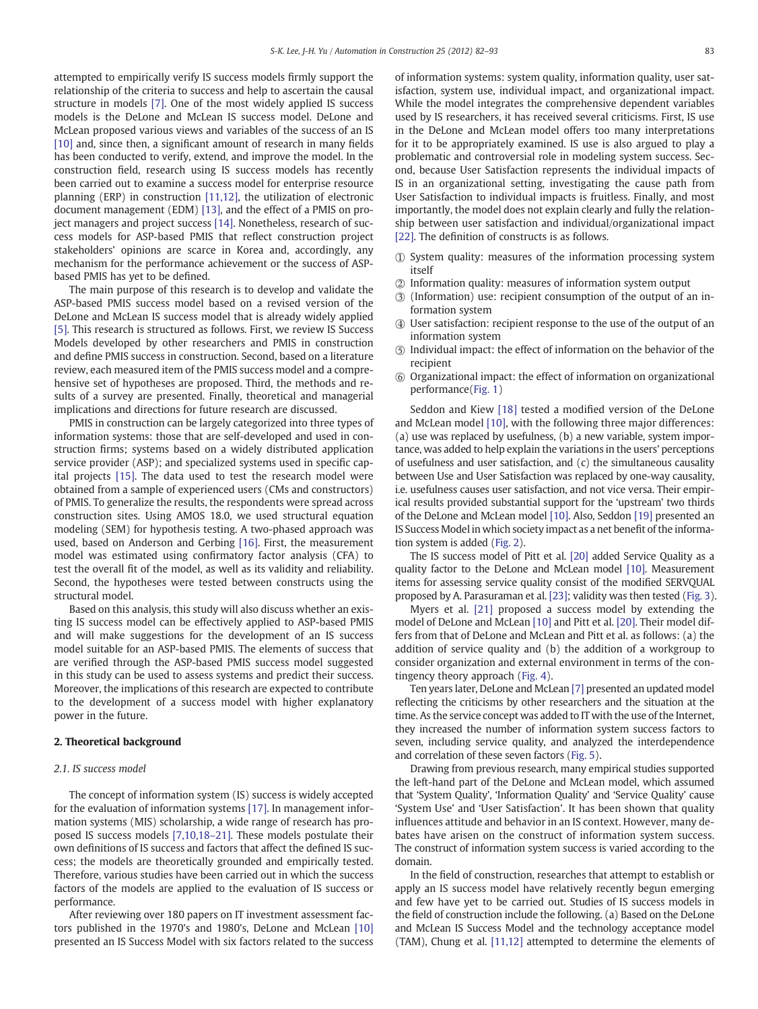attempted to empirically verify IS success models firmly support the relationship of the criteria to success and help to ascertain the causal structure in models [\[7\]](#page--1-0). One of the most widely applied IS success models is the DeLone and McLean IS success model. DeLone and McLean proposed various views and variables of the success of an IS [\[10\]](#page--1-0) and, since then, a significant amount of research in many fields has been conducted to verify, extend, and improve the model. In the construction field, research using IS success models has recently been carried out to examine a success model for enterprise resource planning (ERP) in construction [\[11,12\],](#page--1-0) the utilization of electronic document management (EDM) [\[13\]](#page--1-0), and the effect of a PMIS on project managers and project success [\[14\]](#page--1-0). Nonetheless, research of success models for ASP-based PMIS that reflect construction project stakeholders' opinions are scarce in Korea and, accordingly, any mechanism for the performance achievement or the success of ASPbased PMIS has yet to be defined.

The main purpose of this research is to develop and validate the ASP-based PMIS success model based on a revised version of the DeLone and McLean IS success model that is already widely applied [\[5\].](#page--1-0) This research is structured as follows. First, we review IS Success Models developed by other researchers and PMIS in construction and define PMIS success in construction. Second, based on a literature review, each measured item of the PMIS success model and a comprehensive set of hypotheses are proposed. Third, the methods and results of a survey are presented. Finally, theoretical and managerial implications and directions for future research are discussed.

PMIS in construction can be largely categorized into three types of information systems: those that are self-developed and used in construction firms; systems based on a widely distributed application service provider (ASP); and specialized systems used in specific capital projects [\[15\].](#page--1-0) The data used to test the research model were obtained from a sample of experienced users (CMs and constructors) of PMIS. To generalize the results, the respondents were spread across construction sites. Using AMOS 18.0, we used structural equation modeling (SEM) for hypothesis testing. A two-phased approach was used, based on Anderson and Gerbing [\[16\].](#page--1-0) First, the measurement model was estimated using confirmatory factor analysis (CFA) to test the overall fit of the model, as well as its validity and reliability. Second, the hypotheses were tested between constructs using the structural model.

Based on this analysis, this study will also discuss whether an existing IS success model can be effectively applied to ASP-based PMIS and will make suggestions for the development of an IS success model suitable for an ASP-based PMIS. The elements of success that are verified through the ASP-based PMIS success model suggested in this study can be used to assess systems and predict their success. Moreover, the implications of this research are expected to contribute to the development of a success model with higher explanatory power in the future.

#### 2. Theoretical background

#### 2.1. IS success model

The concept of information system (IS) success is widely accepted for the evaluation of information systems [\[17\].](#page--1-0) In management information systems (MIS) scholarship, a wide range of research has proposed IS success models [\[7,10,18](#page--1-0)–21]. These models postulate their own definitions of IS success and factors that affect the defined IS success; the models are theoretically grounded and empirically tested. Therefore, various studies have been carried out in which the success factors of the models are applied to the evaluation of IS success or performance.

After reviewing over 180 papers on IT investment assessment factors published in the 1970's and 1980's, DeLone and McLean [\[10\]](#page--1-0) presented an IS Success Model with six factors related to the success of information systems: system quality, information quality, user satisfaction, system use, individual impact, and organizational impact. While the model integrates the comprehensive dependent variables used by IS researchers, it has received several criticisms. First, IS use in the DeLone and McLean model offers too many interpretations for it to be appropriately examined. IS use is also argued to play a problematic and controversial role in modeling system success. Second, because User Satisfaction represents the individual impacts of IS in an organizational setting, investigating the cause path from User Satisfaction to individual impacts is fruitless. Finally, and most importantly, the model does not explain clearly and fully the relationship between user satisfaction and individual/organizational impact [\[22\]](#page--1-0). The definition of constructs is as follows.

- ① System quality: measures of the information processing system itself
- ② Information quality: measures of information system output
- ③ (Information) use: recipient consumption of the output of an information system
- ④ User satisfaction: recipient response to the use of the output of an information system
- ⑤ Individual impact: the effect of information on the behavior of the recipient
- ⑥ Organizational impact: the effect of information on organizational performance[\(Fig. 1\)](#page--1-0)

Seddon and Kiew [\[18\]](#page--1-0) tested a modified version of the DeLone and McLean model [\[10\],](#page--1-0) with the following three major differences: (a) use was replaced by usefulness, (b) a new variable, system importance, was added to help explain the variations in the users' perceptions of usefulness and user satisfaction, and (c) the simultaneous causality between Use and User Satisfaction was replaced by one-way causality, i.e. usefulness causes user satisfaction, and not vice versa. Their empirical results provided substantial support for the 'upstream' two thirds of the DeLone and McLean model [\[10\].](#page--1-0) Also, Seddon [\[19\]](#page--1-0) presented an IS Success Model in which society impact as a net benefit of the information system is added [\(Fig. 2\)](#page--1-0).

The IS success model of Pitt et al. [\[20\]](#page--1-0) added Service Quality as a quality factor to the DeLone and McLean model [\[10\].](#page--1-0) Measurement items for assessing service quality consist of the modified SERVQUAL proposed by A. Parasuraman et al. [\[23\];](#page--1-0) validity was then tested ([Fig. 3](#page--1-0)).

Myers et al. [\[21\]](#page--1-0) proposed a success model by extending the model of DeLone and McLean [\[10\]](#page--1-0) and Pitt et al. [\[20\]](#page--1-0). Their model differs from that of DeLone and McLean and Pitt et al. as follows: (a) the addition of service quality and (b) the addition of a workgroup to consider organization and external environment in terms of the contingency theory approach [\(Fig. 4\)](#page--1-0).

Ten years later, DeLone and McLean [\[7\]](#page--1-0) presented an updated model reflecting the criticisms by other researchers and the situation at the time. As the service concept was added to IT with the use of the Internet, they increased the number of information system success factors to seven, including service quality, and analyzed the interdependence and correlation of these seven factors ([Fig. 5\)](#page--1-0).

Drawing from previous research, many empirical studies supported the left-hand part of the DeLone and McLean model, which assumed that 'System Quality', 'Information Quality' and 'Service Quality' cause 'System Use' and 'User Satisfaction'. It has been shown that quality influences attitude and behavior in an IS context. However, many debates have arisen on the construct of information system success. The construct of information system success is varied according to the domain.

In the field of construction, researches that attempt to establish or apply an IS success model have relatively recently begun emerging and few have yet to be carried out. Studies of IS success models in the field of construction include the following. (a) Based on the DeLone and McLean IS Success Model and the technology acceptance model (TAM), Chung et al. [\[11,12\]](#page--1-0) attempted to determine the elements of